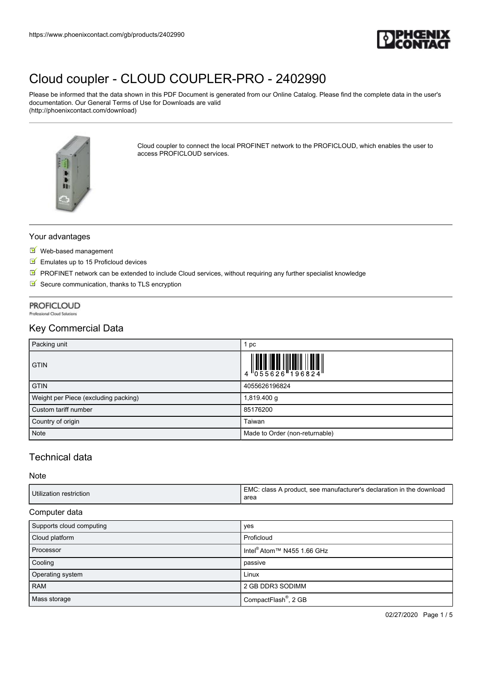

Please be informed that the data shown in this PDF Document is generated from our Online Catalog. Please find the complete data in the user's documentation. Our General Terms of Use for Downloads are valid (http://phoenixcontact.com/download)



Cloud coupler to connect the local PROFINET network to the PROFICLOUD, which enables the user to access PROFICLOUD services.

### Your advantages

- Web-based management
- Emulates up to 15 Proficloud devices
- $\mathbb F$  PROFINET network can be extended to include Cloud services, without requiring any further specialist knowledge
- $\blacksquare$  Secure communication, thanks to TLS encryption

# **PROFICLOUD**

**Professional Cloud Solutions** 

## Key Commercial Data

| Packing unit                         | 1 pc                           |
|--------------------------------------|--------------------------------|
| <b>GTIN</b>                          |                                |
| <b>GTIN</b>                          | 4055626196824                  |
| Weight per Piece (excluding packing) | 1,819.400 g                    |
| Custom tariff number                 | 85176200                       |
| Country of origin                    | Taiwan                         |
| <b>Note</b>                          | Made to Order (non-returnable) |

# Technical data

Note

| Utilization restriction | EMC: class A product, see manufacturer's declaration in the download<br>area |
|-------------------------|------------------------------------------------------------------------------|
|                         |                                                                              |

### Computer data

| Supports cloud computing | yes                                    |
|--------------------------|----------------------------------------|
| Cloud platform           | Proficloud                             |
| Processor                | Intel <sup>®</sup> Atom™ N455 1.66 GHz |
| Cooling                  | passive                                |
| Operating system         | Linux                                  |
| <b>RAM</b>               | 2 GB DDR3 SODIMM                       |
| Mass storage             | CompactFlash <sup>®</sup> , 2 GB       |

02/27/2020 Page 1 / 5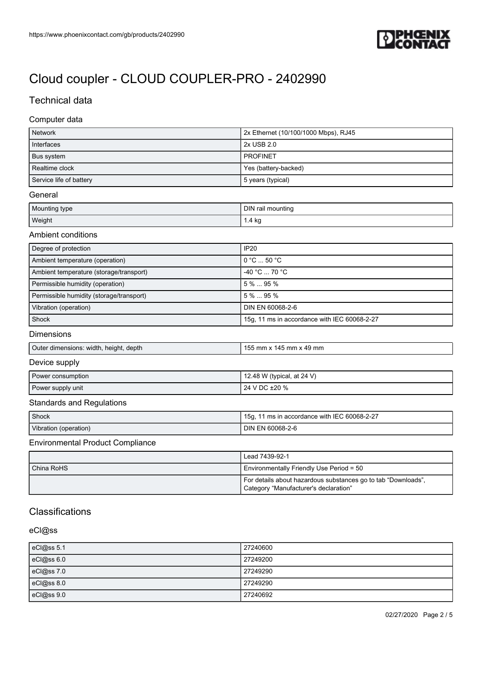

# Technical data

### Computer data

| <b>Network</b>          | 2x Ethernet (10/100/1000 Mbps), RJ45 |
|-------------------------|--------------------------------------|
| Interfaces              | 2x USB 2.0                           |
| Bus system              | <b>PROFINET</b>                      |
| Realtime clock          | Yes (battery-backed)                 |
| Service life of battery | 5 years (typical)                    |

#### **General**

| Mounting type | <b>DIN</b><br>il mounting |
|---------------|---------------------------|
| Weight        | 1.4 kg                    |

### Ambient conditions

| Degree of protection                     | <b>IP20</b>                                  |
|------------------------------------------|----------------------------------------------|
| Ambient temperature (operation)          | $0^{\circ}$ C $$ 50 $^{\circ}$ C $^-$        |
| Ambient temperature (storage/transport)  | $-40 °C  70 °C$                              |
| Permissible humidity (operation)         | $5\%$ 95 $\%$                                |
| Permissible humidity (storage/transport) | $5\%$ 95 %                                   |
| Vibration (operation)                    | DIN EN 60068-2-6                             |
| Shock                                    | 15g, 11 ms in accordance with IEC 60068-2-27 |

### Dimensions

| Outer dimensions: width, height, depth | 155 mm x 145 mm x 49 mm |
|----------------------------------------|-------------------------|

### Device supply

| Power consumption | 12.48 W (typical, at 24 V) |
|-------------------|----------------------------|
| Power supply unit | 24 V DC ±20 %              |

## Standards and Regulations

| Shock                 | 1 ms in accordance with IEC 60068-2-27<br>15g, |
|-----------------------|------------------------------------------------|
| Vibration (operation) | DIN EN 60068-2-6                               |

### Environmental Product Compliance

|            | Lead 7439-92-1                                                                                         |
|------------|--------------------------------------------------------------------------------------------------------|
| China RoHS | Environmentally Friendly Use Period = 50                                                               |
|            | For details about hazardous substances go to tab "Downloads",<br>Category "Manufacturer's declaration" |

# **Classifications**

### eCl@ss

| eCl@ss 5.1      | 27240600 |
|-----------------|----------|
| $c$ Cl $@ss6.0$ | 27249200 |
| eCl@ss 7.0      | 27249290 |
| eCl@ss 8.0      | 27249290 |
| eCl@ss 9.0      | 27240692 |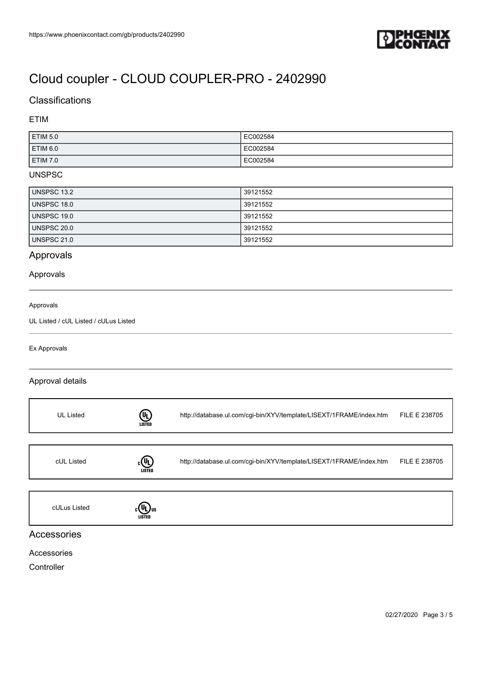

# Classifications

### ETIM

| ETIM 5.0        | EC002584 |
|-----------------|----------|
| <b>ETIM 6.0</b> | EC002584 |
| ETIM 7.0        | EC002584 |

### UNSPSC

| UNSPSC 13.2        | 39121552 |
|--------------------|----------|
| UNSPSC 18.0        | 39121552 |
| <b>UNSPSC 19.0</b> | 39121552 |
| UNSPSC 20.0        | 39121552 |
| <b>UNSPSC 21.0</b> | 39121552 |

# Approvals

### Approvals

#### Approvals

UL Listed / cUL Listed / cULus Listed

### Ex Approvals

### Approval details

| <b>UL Listed</b> | (U)<br><b>LISTED</b>              | http://database.ul.com/cgi-bin/XYV/template/LISEXT/1FRAME/index.htm | FILE E 238705 |
|------------------|-----------------------------------|---------------------------------------------------------------------|---------------|
| cUL Listed       | $_{c}(\Psi_{L})$<br><b>LISTED</b> | http://database.ul.com/cgi-bin/XYV/template/LISEXT/1FRAME/index.htm | FILE E 238705 |
| cULus Listed     | ιYL Jus<br>LISTED                 |                                                                     |               |

## Accessories

### Accessories

**Controller**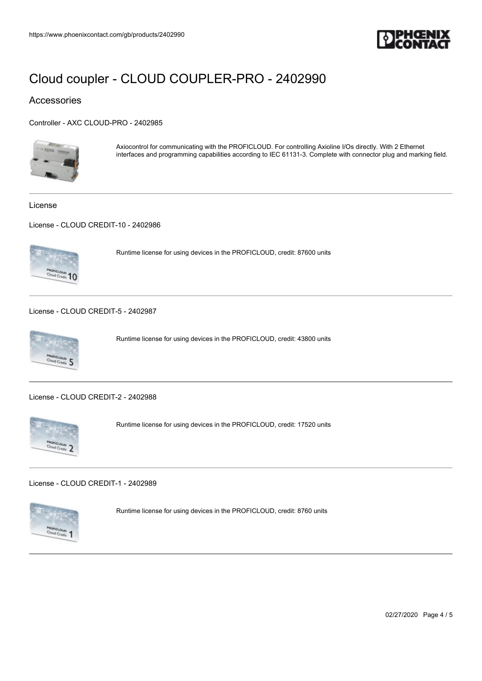

### Accessories

[Controller - AXC CLOUD-PRO - 2402985](https://www.phoenixcontact.com/gb/products/2402985)



Axiocontrol for communicating with the PROFICLOUD. For controlling Axioline I/Os directly. With 2 Ethernet interfaces and programming capabilities according to IEC 61131-3. Complete with connector plug and marking field.

License

[License - CLOUD CREDIT-10 - 2402986](https://www.phoenixcontact.com/gb/products/2402986)



Runtime license for using devices in the PROFICLOUD, credit: 87600 units

[License - CLOUD CREDIT-5 - 2402987](https://www.phoenixcontact.com/gb/products/2402987)



Runtime license for using devices in the PROFICLOUD, credit: 43800 units

[License - CLOUD CREDIT-2 - 2402988](https://www.phoenixcontact.com/gb/products/2402988)



Runtime license for using devices in the PROFICLOUD, credit: 17520 units

[License - CLOUD CREDIT-1 - 2402989](https://www.phoenixcontact.com/gb/products/2402989)



Runtime license for using devices in the PROFICLOUD, credit: 8760 units

02/27/2020 Page 4 / 5